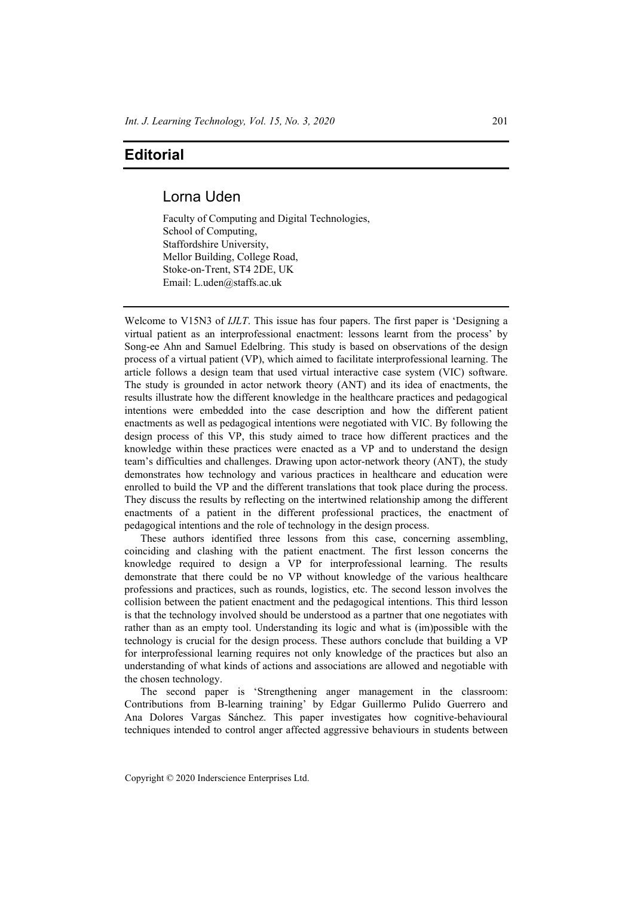## **Editorial**

## Lorna Uden

Faculty of Computing and Digital Technologies, School of Computing, Staffordshire University, Mellor Building, College Road, Stoke-on-Trent, ST4 2DE, UK Email: L.uden@staffs.ac.uk

Welcome to V15N3 of *IJLT*. This issue has four papers. The first paper is 'Designing a virtual patient as an interprofessional enactment: lessons learnt from the process' by Song-ee Ahn and Samuel Edelbring. This study is based on observations of the design process of a virtual patient (VP), which aimed to facilitate interprofessional learning. The article follows a design team that used virtual interactive case system (VIC) software. The study is grounded in actor network theory (ANT) and its idea of enactments, the results illustrate how the different knowledge in the healthcare practices and pedagogical intentions were embedded into the case description and how the different patient enactments as well as pedagogical intentions were negotiated with VIC. By following the design process of this VP, this study aimed to trace how different practices and the knowledge within these practices were enacted as a VP and to understand the design team's difficulties and challenges. Drawing upon actor-network theory (ANT), the study demonstrates how technology and various practices in healthcare and education were enrolled to build the VP and the different translations that took place during the process. They discuss the results by reflecting on the intertwined relationship among the different enactments of a patient in the different professional practices, the enactment of pedagogical intentions and the role of technology in the design process.

These authors identified three lessons from this case, concerning assembling, coinciding and clashing with the patient enactment. The first lesson concerns the knowledge required to design a VP for interprofessional learning. The results demonstrate that there could be no VP without knowledge of the various healthcare professions and practices, such as rounds, logistics, etc. The second lesson involves the collision between the patient enactment and the pedagogical intentions. This third lesson is that the technology involved should be understood as a partner that one negotiates with rather than as an empty tool. Understanding its logic and what is (im)possible with the technology is crucial for the design process. These authors conclude that building a VP for interprofessional learning requires not only knowledge of the practices but also an understanding of what kinds of actions and associations are allowed and negotiable with the chosen technology.

The second paper is 'Strengthening anger management in the classroom: Contributions from B-learning training' by Edgar Guillermo Pulido Guerrero and Ana Dolores Vargas Sánchez. This paper investigates how cognitive-behavioural techniques intended to control anger affected aggressive behaviours in students between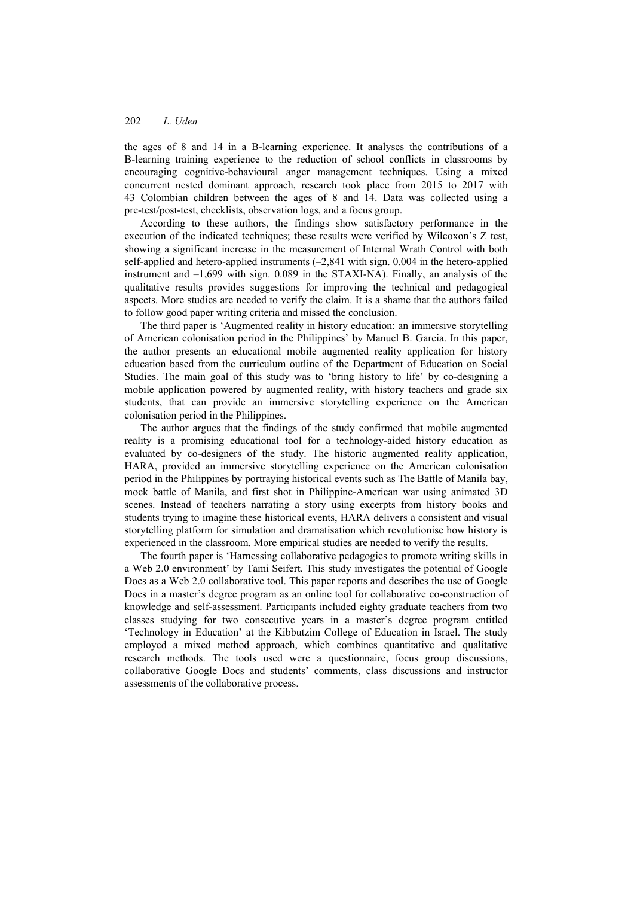the ages of 8 and 14 in a B-learning experience. It analyses the contributions of a B-learning training experience to the reduction of school conflicts in classrooms by encouraging cognitive-behavioural anger management techniques. Using a mixed concurrent nested dominant approach, research took place from 2015 to 2017 with 43 Colombian children between the ages of 8 and 14. Data was collected using a pre-test/post-test, checklists, observation logs, and a focus group.

According to these authors, the findings show satisfactory performance in the execution of the indicated techniques; these results were verified by Wilcoxon's Z test, showing a significant increase in the measurement of Internal Wrath Control with both self-applied and hetero-applied instruments  $(-2,841)$  with sign. 0.004 in the hetero-applied instrument and –1,699 with sign. 0.089 in the STAXI-NA). Finally, an analysis of the qualitative results provides suggestions for improving the technical and pedagogical aspects. More studies are needed to verify the claim. It is a shame that the authors failed to follow good paper writing criteria and missed the conclusion.

The third paper is 'Augmented reality in history education: an immersive storytelling of American colonisation period in the Philippines' by Manuel B. Garcia. In this paper, the author presents an educational mobile augmented reality application for history education based from the curriculum outline of the Department of Education on Social Studies. The main goal of this study was to 'bring history to life' by co-designing a mobile application powered by augmented reality, with history teachers and grade six students, that can provide an immersive storytelling experience on the American colonisation period in the Philippines.

The author argues that the findings of the study confirmed that mobile augmented reality is a promising educational tool for a technology-aided history education as evaluated by co-designers of the study. The historic augmented reality application, HARA, provided an immersive storytelling experience on the American colonisation period in the Philippines by portraying historical events such as The Battle of Manila bay, mock battle of Manila, and first shot in Philippine-American war using animated 3D scenes. Instead of teachers narrating a story using excerpts from history books and students trying to imagine these historical events, HARA delivers a consistent and visual storytelling platform for simulation and dramatisation which revolutionise how history is experienced in the classroom. More empirical studies are needed to verify the results.

The fourth paper is 'Harnessing collaborative pedagogies to promote writing skills in a Web 2.0 environment' by Tami Seifert. This study investigates the potential of Google Docs as a Web 2.0 collaborative tool. This paper reports and describes the use of Google Docs in a master's degree program as an online tool for collaborative co-construction of knowledge and self-assessment. Participants included eighty graduate teachers from two classes studying for two consecutive years in a master's degree program entitled 'Technology in Education' at the Kibbutzim College of Education in Israel. The study employed a mixed method approach, which combines quantitative and qualitative research methods. The tools used were a questionnaire, focus group discussions, collaborative Google Docs and students' comments, class discussions and instructor assessments of the collaborative process.